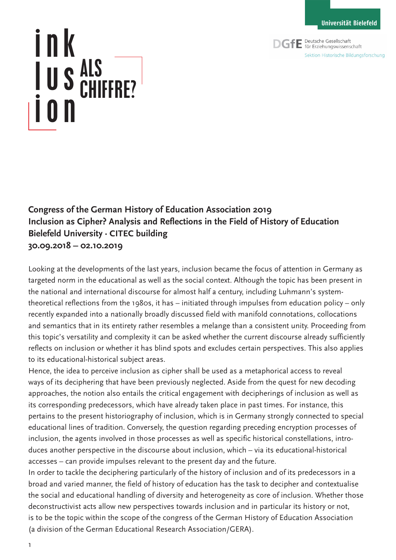**DGfE** Deutsche Gesellschaft Sektion Historische Bildungsforschung

## ink lus ion ALS CHIFFRE?

**Congress of the German History of Education Association 2019 Inclusion as Cipher? Analysis and Reflections in the Field of History of Education Bielefeld University · CITEC building 30.09.2018 – 02.10.2019**

Looking at the developments of the last years, inclusion became the focus of attention in Germany as targeted norm in the educational as well as the social context. Although the topic has been present in the national and international discourse for almost half a century, including Luhmann's systemtheoretical reflections from the 1980s, it has – initiated through impulses from education policy – only recently expanded into a nationally broadly discussed field with manifold connotations, collocations and semantics that in its entirety rather resembles a melange than a consistent unity. Proceeding from this topic's versatility and complexity it can be asked whether the current discourse already sufficiently reflects on inclusion or whether it has blind spots and excludes certain perspectives. This also applies to its educational-historical subject areas.

Hence, the idea to perceive inclusion as cipher shall be used as a metaphorical access to reveal ways of its deciphering that have been previously neglected. Aside from the quest for new decoding approaches, the notion also entails the critical engagement with decipherings of inclusion as well as its corresponding predecessors, which have already taken place in past times. For instance, this pertains to the present historiography of inclusion, which is in Germany strongly connected to special educational lines of tradition. Conversely, the question regarding preceding encryption processes of inclusion, the agents involved in those processes as well as specific historical constellations, introduces another perspective in the discourse about inclusion, which – via its educational-historical accesses – can provide impulses relevant to the present day and the future.

In order to tackle the deciphering particularly of the history of inclusion and of its predecessors in a broad and varied manner, the field of history of education has the task to decipher and contextualise the social and educational handling of diversity and heterogeneity as core of inclusion. Whether those deconstructivist acts allow new perspectives towards inclusion and in particular its history or not, is to be the topic within the scope of the congress of the German History of Education Association (a division of the German Educational Research Association/GERA).